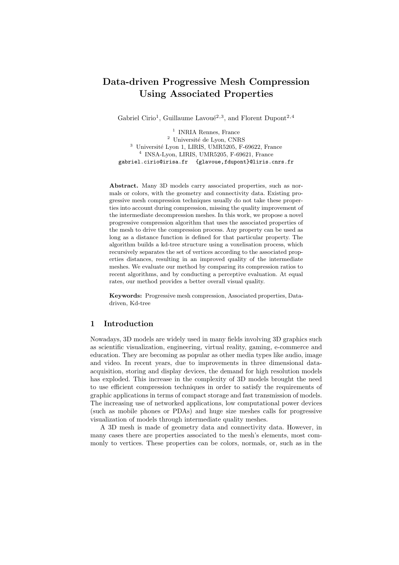# Data-driven Progressive Mesh Compression Using Associated Properties

Gabriel Cirio<sup>1</sup>, Guillaume Lavoué<sup>2,3</sup>, and Florent Dupont<sup>2,4</sup>

<sup>1</sup> INRIA Rennes, France <sup>2</sup> Université de Lyon, CNRS  $3$  Université Lyon 1, LIRIS, UMR5205, F-69622, France 4 INSA-Lyon, LIRIS, UMR5205, F-69621, France gabriel.cirio@irisa.fr {glavoue,fdupont}@liris.cnrs.fr

Abstract. Many 3D models carry associated properties, such as normals or colors, with the geometry and connectivity data. Existing progressive mesh compression techniques usually do not take these properties into account during compression, missing the quality improvement of the intermediate decompression meshes. In this work, we propose a novel progressive compression algorithm that uses the associated properties of the mesh to drive the compression process. Any property can be used as long as a distance function is defined for that particular property. The algorithm builds a kd-tree structure using a voxelisation process, which recursively separates the set of vertices according to the associated properties distances, resulting in an improved quality of the intermediate meshes. We evaluate our method by comparing its compression ratios to recent algorithms, and by conducting a perceptive evaluation. At equal rates, our method provides a better overall visual quality.

Keywords: Progressive mesh compression, Associated properties, Datadriven, Kd-tree

# 1 Introduction

Nowadays, 3D models are widely used in many fields involving 3D graphics such as scientific visualization, engineering, virtual reality, gaming, e-commerce and education. They are becoming as popular as other media types like audio, image and video. In recent years, due to improvements in three dimensional dataacquisition, storing and display devices, the demand for high resolution models has exploded. This increase in the complexity of 3D models brought the need to use efficient compression techniques in order to satisfy the requirements of graphic applications in terms of compact storage and fast transmission of models. The increasing use of networked applications, low computational power devices (such as mobile phones or PDAs) and huge size meshes calls for progressive visualization of models through intermediate quality meshes.

A 3D mesh is made of geometry data and connectivity data. However, in many cases there are properties associated to the mesh's elements, most commonly to vertices. These properties can be colors, normals, or, such as in the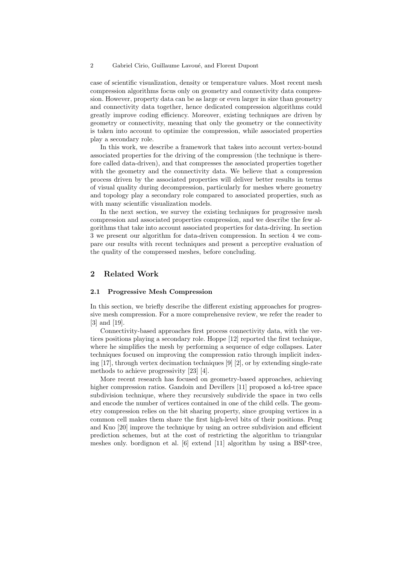case of scientific visualization, density or temperature values. Most recent mesh compression algorithms focus only on geometry and connectivity data compression. However, property data can be as large or even larger in size than geometry and connectivity data together, hence dedicated compression algorithms could greatly improve coding efficiency. Moreover, existing techniques are driven by geometry or connectivity, meaning that only the geometry or the connectivity is taken into account to optimize the compression, while associated properties play a secondary role.

In this work, we describe a framework that takes into account vertex-bound associated properties for the driving of the compression (the technique is therefore called data-driven), and that compresses the associated properties together with the geometry and the connectivity data. We believe that a compression process driven by the associated properties will deliver better results in terms of visual quality during decompression, particularly for meshes where geometry and topology play a secondary role compared to associated properties, such as with many scientific visualization models.

In the next section, we survey the existing techniques for progressive mesh compression and associated properties compression, and we describe the few algorithms that take into account associated properties for data-driving. In section 3 we present our algorithm for data-driven compression. In section 4 we compare our results with recent techniques and present a perceptive evaluation of the quality of the compressed meshes, before concluding.

## 2 Related Work

## 2.1 Progressive Mesh Compression

In this section, we briefly describe the different existing approaches for progressive mesh compression. For a more comprehensive review, we refer the reader to [3] and [19].

Connectivity-based approaches first process connectivity data, with the vertices positions playing a secondary role. Hoppe [12] reported the first technique, where he simplifies the mesh by performing a sequence of edge collapses. Later techniques focused on improving the compression ratio through implicit indexing [17], through vertex decimation techniques [9] [2], or by extending single-rate methods to achieve progressivity [23] [4].

More recent research has focused on geometry-based approaches, achieving higher compression ratios. Gandoin and Devillers [11] proposed a kd-tree space subdivision technique, where they recursively subdivide the space in two cells and encode the number of vertices contained in one of the child cells. The geometry compression relies on the bit sharing property, since grouping vertices in a common cell makes them share the first high-level bits of their positions. Peng and Kuo [20] improve the technique by using an octree subdivision and efficient prediction schemes, but at the cost of restricting the algorithm to triangular meshes only. bordignon et al. [6] extend [11] algorithm by using a BSP-tree,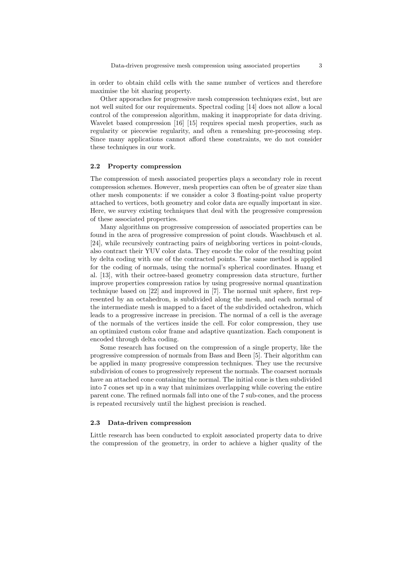in order to obtain child cells with the same number of vertices and therefore maximise the bit sharing property.

Other apporaches for progressive mesh compression techniques exist, but are not well suited for our requirements. Spectral coding [14] does not allow a local control of the compression algorithm, making it inappropriate for data driving. Wavelet based compression [16] [15] requires special mesh properties, such as regularity or piecewise regularity, and often a remeshing pre-processing step. Since many applications cannot afford these constraints, we do not consider these techniques in our work.

#### 2.2 Property compression

The compression of mesh associated properties plays a secondary role in recent compression schemes. However, mesh properties can often be of greater size than other mesh components: if we consider a color 3 floating-point value property attached to vertices, both geometry and color data are equally important in size. Here, we survey existing techniques that deal with the progressive compression of these associated properties.

Many algorithms on progressive compression of associated properties can be found in the area of progressive compression of point clouds. Waschbusch et al. [24], while recursively contracting pairs of neighboring vertices in point-clouds, also contract their YUV color data. They encode the color of the resulting point by delta coding with one of the contracted points. The same method is applied for the coding of normals, using the normal's spherical coordinates. Huang et al. [13], with their octree-based geometry compression data structure, further improve properties compression ratios by using progressive normal quantization technique based on [22] and improved in [7]. The normal unit sphere, first represented by an octahedron, is subdivided along the mesh, and each normal of the intermediate mesh is mapped to a facet of the subdivided octahedron, which leads to a progressive increase in precision. The normal of a cell is the average of the normals of the vertices inside the cell. For color compression, they use an optimized custom color frame and adaptive quantization. Each component is encoded through delta coding.

Some research has focused on the compression of a single property, like the progressive compression of normals from Bass and Been [5]. Their algorithm can be applied in many progressive compression techniques. They use the recursive subdivision of cones to progressively represent the normals. The coarsest normals have an attached cone containing the normal. The initial cone is then subdivided into 7 cones set up in a way that minimizes overlapping while covering the entire parent cone. The refined normals fall into one of the 7 sub-cones, and the process is repeated recursively until the highest precision is reached.

#### 2.3 Data-driven compression

Little research has been conducted to exploit associated property data to drive the compression of the geometry, in order to achieve a higher quality of the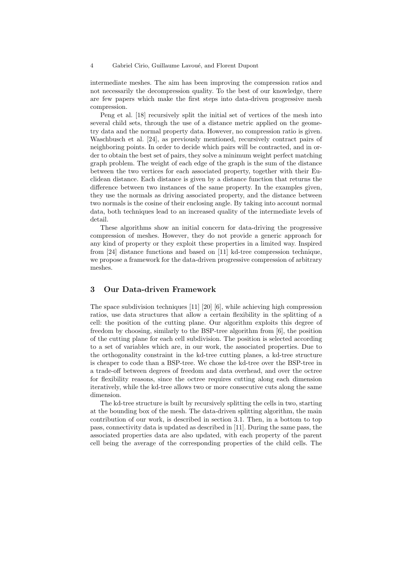intermediate meshes. The aim has been improving the compression ratios and not necessarily the decompression quality. To the best of our knowledge, there are few papers which make the first steps into data-driven progressive mesh compression.

Peng et al. [18] recursively split the initial set of vertices of the mesh into several child sets, through the use of a distance metric applied on the geometry data and the normal property data. However, no compression ratio is given. Waschbusch et al. [24], as previously mentioned, recursively contract pairs of neighboring points. In order to decide which pairs will be contracted, and in order to obtain the best set of pairs, they solve a minimum weight perfect matching graph problem. The weight of each edge of the graph is the sum of the distance between the two vertices for each associated property, together with their Euclidean distance. Each distance is given by a distance function that returns the difference between two instances of the same property. In the examples given, they use the normals as driving associated property, and the distance between two normals is the cosine of their enclosing angle. By taking into account normal data, both techniques lead to an increased quality of the intermediate levels of detail.

These algorithms show an initial concern for data-driving the progressive compression of meshes. However, they do not provide a generic approach for any kind of property or they exploit these properties in a limited way. Inspired from [24] distance functions and based on [11] kd-tree compression technique, we propose a framework for the data-driven progressive compression of arbitrary meshes.

# 3 Our Data-driven Framework

The space subdivision techniques [11] [20] [6], while achieving high compression ratios, use data structures that allow a certain flexibility in the splitting of a cell: the position of the cutting plane. Our algorithm exploits this degree of freedom by choosing, similarly to the BSP-tree algorithm from [6], the position of the cutting plane for each cell subdivision. The position is selected according to a set of variables which are, in our work, the associated properties. Due to the orthogonality constraint in the kd-tree cutting planes, a kd-tree structure is cheaper to code than a BSP-tree. We chose the kd-tree over the BSP-tree in a trade-off between degrees of freedom and data overhead, and over the octree for flexibility reasons, since the octree requires cutting along each dimension iteratively, while the kd-tree allows two or more consecutive cuts along the same dimension.

The kd-tree structure is built by recursively splitting the cells in two, starting at the bounding box of the mesh. The data-driven splitting algorithm, the main contribution of our work, is described in section 3.1. Then, in a bottom to top pass, connectivity data is updated as described in [11]. During the same pass, the associated properties data are also updated, with each property of the parent cell being the average of the corresponding properties of the child cells. The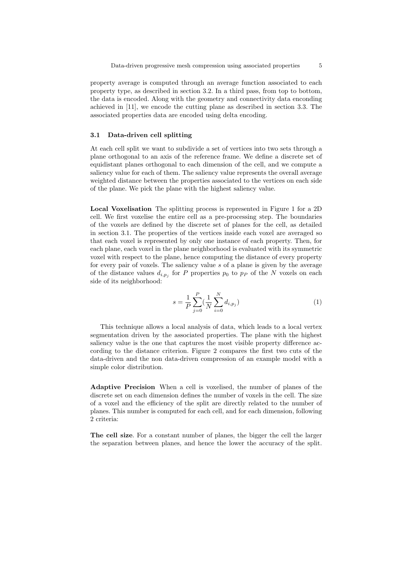property average is computed through an average function associated to each property type, as described in section 3.2. In a third pass, from top to bottom, the data is encoded. Along with the geometry and connectivity data enconding achieved in [11], we encode the cutting plane as described in section 3.3. The associated properties data are encoded using delta encoding.

## 3.1 Data-driven cell splitting

At each cell split we want to subdivide a set of vertices into two sets through a plane orthogonal to an axis of the reference frame. We define a discrete set of equidistant planes orthogonal to each dimension of the cell, and we compute a saliency value for each of them. The saliency value represents the overall average weighted distance between the properties associated to the vertices on each side of the plane. We pick the plane with the highest saliency value.

Local Voxelisation The splitting process is represented in Figure 1 for a 2D cell. We first voxelise the entire cell as a pre-processing step. The boundaries of the voxels are defined by the discrete set of planes for the cell, as detailed in section 3.1. The properties of the vertices inside each voxel are averaged so that each voxel is represented by only one instance of each property. Then, for each plane, each voxel in the plane neighborhood is evaluated with its symmetric voxel with respect to the plane, hence computing the distance of every property for every pair of voxels. The saliency value s of a plane is given by the average of the distance values  $d_{i,p_j}$  for P properties  $p_0$  to  $p_P$  of the N voxels on each side of its neighborhood:

$$
s = \frac{1}{P} \sum_{j=0}^{P} \left(\frac{1}{N} \sum_{i=0}^{N} d_{i,p_j}\right)
$$
 (1)

This technique allows a local analysis of data, which leads to a local vertex segmentation driven by the associated properties. The plane with the highest saliency value is the one that captures the most visible property difference according to the distance criterion. Figure 2 compares the first two cuts of the data-driven and the non data-driven compression of an example model with a simple color distribution.

Adaptive Precision When a cell is voxelised, the number of planes of the discrete set on each dimension defines the number of voxels in the cell. The size of a voxel and the efficiency of the split are directly related to the number of planes. This number is computed for each cell, and for each dimension, following 2 criteria:

The cell size. For a constant number of planes, the bigger the cell the larger the separation between planes, and hence the lower the accuracy of the split.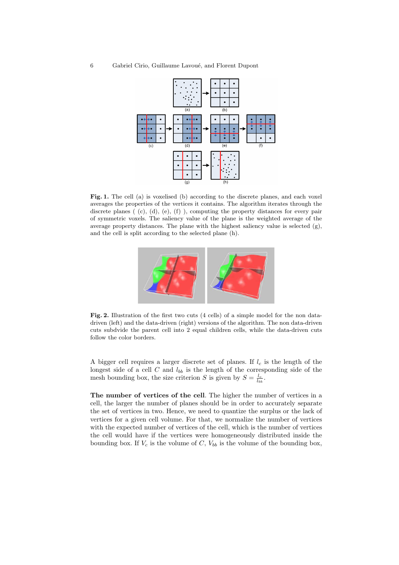

Fig. 1. The cell (a) is voxelised (b) according to the discrete planes, and each voxel averages the properties of the vertices it contains. The algorithm iterates through the discrete planes  $( (c), (d), (e), (f) )$ , computing the property distances for every pair of symmetric voxels. The saliency value of the plane is the weighted average of the average property distances. The plane with the highest saliency value is selected  $(g)$ , and the cell is split according to the selected plane (h).



Fig. 2. Illustration of the first two cuts (4 cells) of a simple model for the non datadriven (left) and the data-driven (right) versions of the algorithm. The non data-driven cuts subdvide the parent cell into 2 equal children cells, while the data-driven cuts follow the color borders.

A bigger cell requires a larger discrete set of planes. If  $l_c$  is the length of the longest side of a cell  $C$  and  $l_{bb}$  is the length of the corresponding side of the mesh bounding box, the size criterion S is given by  $S = \frac{l_c}{l_{bb}}$ .

The number of vertices of the cell. The higher the number of vertices in a cell, the larger the number of planes should be in order to accurately separate the set of vertices in two. Hence, we need to quantize the surplus or the lack of vertices for a given cell volume. For that, we normalize the number of vertices with the expected number of vertices of the cell, which is the number of vertices the cell would have if the vertices were homogeneously distributed inside the bounding box. If  $V_c$  is the volume of C,  $V_{bb}$  is the volume of the bounding box,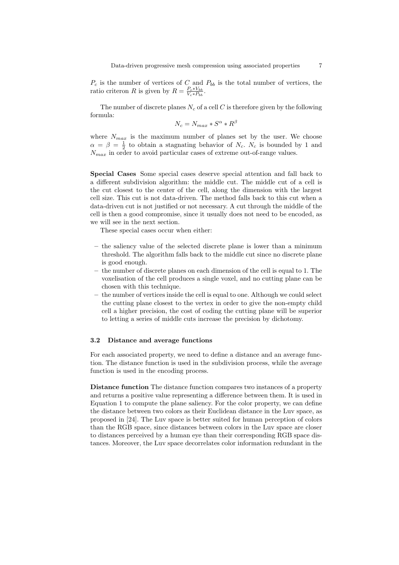$P_c$  is the number of vertices of C and  $P_{bb}$  is the total number of vertices, the ratio criteron R is given by  $R = \frac{P_c * V_{bb}}{V_c * P_{bb}}$ .

The number of discrete planes  $N_c$  of a cell C is therefore given by the following formula:

$$
N_c=N_{max}*S^\alpha*R^\beta
$$

where  $N_{max}$  is the maximum number of planes set by the user. We choose  $\alpha = \beta = \frac{1}{2}$  to obtain a stagnating behavior of  $N_c$ .  $N_c$  is bounded by 1 and  $N_{max}$  in order to avoid particular cases of extreme out-of-range values.

Special Cases Some special cases deserve special attention and fall back to a different subdivision algorithm: the middle cut. The middle cut of a cell is the cut closest to the center of the cell, along the dimension with the largest cell size. This cut is not data-driven. The method falls back to this cut when a data-driven cut is not justified or not necessary. A cut through the middle of the cell is then a good compromise, since it usually does not need to be encoded, as we will see in the next section.

These special cases occur when either:

- the saliency value of the selected discrete plane is lower than a minimum threshold. The algorithm falls back to the middle cut since no discrete plane is good enough.
- the number of discrete planes on each dimension of the cell is equal to 1. The voxelisation of the cell produces a single voxel, and no cutting plane can be chosen with this technique.
- the number of vertices inside the cell is equal to one. Although we could select the cutting plane closest to the vertex in order to give the non-empty child cell a higher precision, the cost of coding the cutting plane will be superior to letting a series of middle cuts increase the precision by dichotomy.

## 3.2 Distance and average functions

For each associated property, we need to define a distance and an average function. The distance function is used in the subdivision process, while the average function is used in the encoding process.

Distance function The distance function compares two instances of a property and returns a positive value representing a difference between them. It is used in Equation 1 to compute the plane saliency. For the color property, we can define the distance between two colors as their Euclidean distance in the Luv space, as proposed in [24]. The Luv space is better suited for human perception of colors than the RGB space, since distances between colors in the Luv space are closer to distances perceived by a human eye than their corresponding RGB space distances. Moreover, the Luv space decorrelates color information redundant in the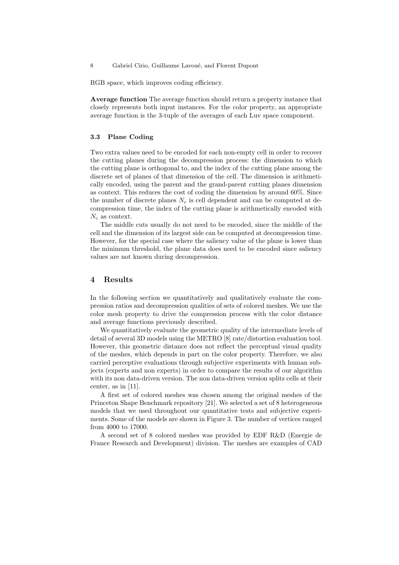RGB space, which improves coding efficiency.

Average function The average function should return a property instance that closely represents both input instances. For the color property, an appropriate average function is the 3-tuple of the averages of each Luv space component.

## 3.3 Plane Coding

Two extra values need to be encoded for each non-empty cell in order to recover the cutting planes during the decompression process: the dimension to which the cutting plane is orthogonal to, and the index of the cutting plane among the discrete set of planes of that dimension of the cell. The dimension is arithmetically encoded, using the parent and the grand-parent cutting planes dimension as context. This reduces the cost of coding the dimension by around 60%. Since the number of discrete planes  $N_c$  is cell dependent and can be computed at decompression time, the index of the cutting plane is arithmetically encoded with  $N_c$  as context.

The middle cuts usually do not need to be encoded, since the middle of the cell and the dimension of its largest side can be computed at decompression time. However, for the special case where the saliency value of the plane is lower than the minimum threshold, the plane data does need to be encoded since saliency values are not known during decompression.

## 4 Results

In the following section we quantitatively and qualitatively evaluate the compression ratios and decompression qualities of sets of colored meshes. We use the color mesh property to drive the compression process with the color distance and average functions previously described.

We quantitatively evaluate the geometric quality of the intermediate levels of detail of several 3D models using the METRO [8] rate/distortion evaluation tool. However, this geometric distance does not reflect the perceptual visual quality of the meshes, which depends in part on the color property. Therefore, we also carried perceptive evaluations through subjective experiments with human subjects (experts and non experts) in order to compare the results of our algorithm with its non data-driven version. The non data-driven version splits cells at their center, as in [11].

A first set of colored meshes was chosen among the original meshes of the Princeton Shape Benchmark repository [21]. We selected a set of 8 heterogeneous models that we used throughout our quantitative tests and subjective experiments. Some of the models are shown in Figure 3. The number of vertices ranged from 4000 to 17000.

A second set of 8 colored meshes was provided by EDF R&D (Energie de France Research and Development) division. The meshes are examples of CAD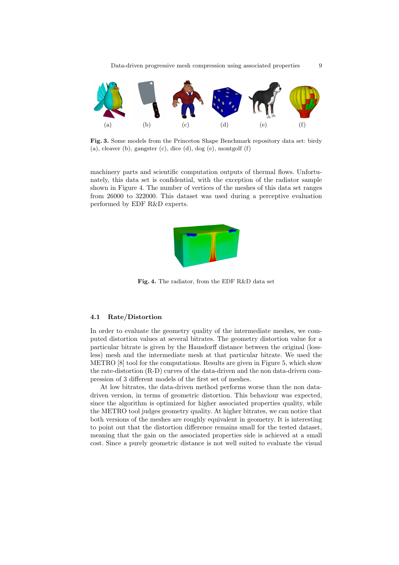

Fig. 3. Some models from the Princeton Shape Benchmark repository data set: birdy  $(a)$ , cleaver  $(b)$ , gangster  $(c)$ , dice  $(d)$ , dog  $(e)$ , montgolf  $(f)$ 

machinery parts and scientific computation outputs of thermal flows. Unfortunately, this data set is confidential, with the exception of the radiator sample shown in Figure 4. The number of vertices of the meshes of this data set ranges from 26000 to 322000. This dataset was used during a perceptive evaluation performed by EDF R&D experts.



Fig. 4. The radiator, from the EDF R&D data set

## 4.1 Rate/Distortion

In order to evaluate the geometry quality of the intermediate meshes, we computed distortion values at several bitrates. The geometry distortion value for a particular bitrate is given by the Hausdorff distance between the original (lossless) mesh and the intermediate mesh at that particular bitrate. We used the METRO [8] tool for the computations. Results are given in Figure 5, which show the rate-distortion (R-D) curves of the data-driven and the non data-driven compression of 3 different models of the first set of meshes.

At low bitrates, the data-driven method performs worse than the non datadriven version, in terms of geometric distortion. This behaviour was expected, since the algorithm is optimized for higher associated properties quality, while the METRO tool judges geometry quality. At higher bitrates, we can notice that both versions of the meshes are roughly equivalent in geometry. It is interesting to point out that the distortion difference remains small for the tested dataset, meaning that the gain on the associated properties side is achieved at a small cost. Since a purely geometric distance is not well suited to evaluate the visual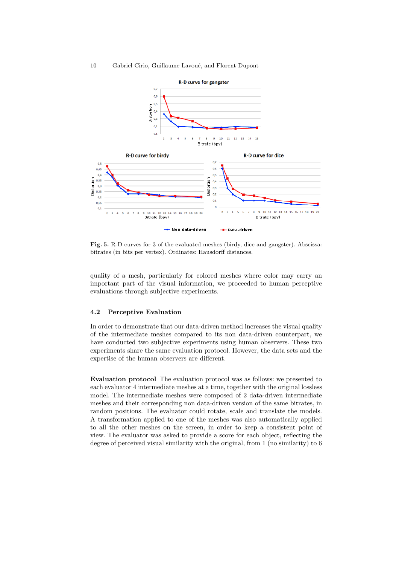10 Gabriel Cirio, Guillaume Lavoué, and Florent Dupont



Fig. 5. R-D curves for 3 of the evaluated meshes (birdy, dice and gangster). Abscissa: bitrates (in bits per vertex). Ordinates: Hausdorff distances.

quality of a mesh, particularly for colored meshes where color may carry an important part of the visual information, we proceeded to human perceptive evaluations through subjective experiments.

## 4.2 Perceptive Evaluation

In order to demonstrate that our data-driven method increases the visual quality of the intermediate meshes compared to its non data-driven counterpart, we have conducted two subjective experiments using human observers. These two experiments share the same evaluation protocol. However, the data sets and the expertise of the human observers are different.

Evaluation protocol The evaluation protocol was as follows: we presented to each evaluator 4 intermediate meshes at a time, together with the original lossless model. The intermediate meshes were composed of 2 data-driven intermediate meshes and their corresponding non data-driven version of the same bitrates, in random positions. The evaluator could rotate, scale and translate the models. A transformation applied to one of the meshes was also automatically applied to all the other meshes on the screen, in order to keep a consistent point of view. The evaluator was asked to provide a score for each object, reflecting the degree of perceived visual similarity with the original, from 1 (no similarity) to 6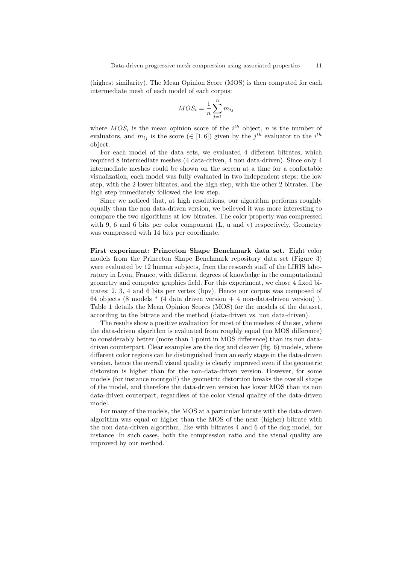(highest similarity). The Mean Opinion Score (MOS) is then computed for each intermediate mesh of each model of each corpus:

$$
MOS_i = \frac{1}{n} \sum_{j=1}^{n} m_{ij}
$$

where  $MOS_i$  is the mean opinion score of the  $i^{th}$  object, n is the number of evaluators, and  $m_{ij}$  is the score ( $\in$  [1,6]) given by the  $j^{th}$  evaluator to the  $i^{th}$ object.

For each model of the data sets, we evaluated 4 different bitrates, which required 8 intermediate meshes (4 data-driven, 4 non data-driven). Since only 4 intermediate meshes could be shown on the screen at a time for a confortable visualization, each model was fully evaluated in two independent steps: the low step, with the 2 lower bitrates, and the high step, with the other 2 bitrates. The high step immediately followed the low step.

Since we noticed that, at high resolutions, our algorithm performs roughly equally than the non data-driven version, we believed it was more interesting to compare the two algorithms at low bitrates. The color property was compressed with 9, 6 and 6 bits per color component  $(L, u, and v)$  respectively. Geometry was compressed with 14 bits per coordinate.

First experiment: Princeton Shape Benchmark data set. Eight color models from the Princeton Shape Benchmark repository data set (Figure 3) were evaluated by 12 human subjects, from the research staff of the LIRIS laboratory in Lyon, France, with different degrees of knowledge in the computational geometry and computer graphics field. For this experiment, we chose 4 fixed bitrates: 2, 3, 4 and 6 bits per vertex (bpv). Hence our corpus was composed of 64 objects (8 models  $*$  (4 data driven version + 4 non-data-driven version)). Table 1 details the Mean Opinion Scores (MOS) for the models of the dataset, according to the bitrate and the method (data-driven vs. non data-driven).

The results show a positive evaluation for most of the meshes of the set, where the data-driven algorithm is evaluated from roughly equal (no MOS difference) to considerably better (more than 1 point in MOS difference) than its non datadriven counterpart. Clear examples are the dog and cleaver (fig. 6) models, where different color regions can be distinguished from an early stage in the data-driven version, hence the overall visual quality is clearly improved even if the geometric distorsion is higher than for the non-data-driven version. However, for some models (for instance montgolf) the geometric distortion breaks the overall shape of the model, and therefore the data-driven version has lower MOS than its non data-driven couterpart, regardless of the color visual quality of the data-driven model.

For many of the models, the MOS at a particular bitrate with the data-driven algorithm was equal or higher than the MOS of the next (higher) bitrate with the non data-driven algorithm, like with bitrates 4 and 6 of the dog model, for instance. In such cases, both the compression ratio and the visual quality are improved by our method.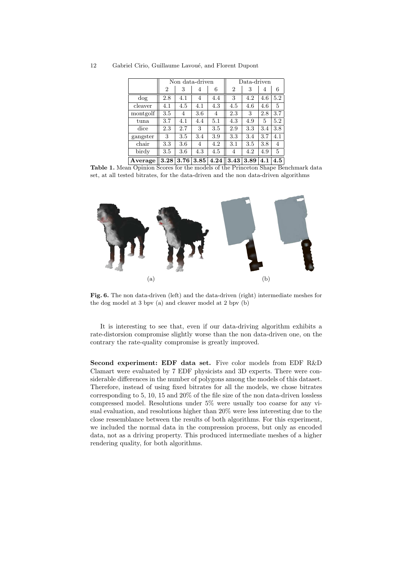|                     | Non data-driven |      |      |     | Data-driven         |      |     |                |
|---------------------|-----------------|------|------|-----|---------------------|------|-----|----------------|
|                     | 2               | 3    | 4    | 6   | $\overline{2}$      | 3    | 4   | 6              |
| $\log$              | 2.8             | 4.1  | 4    | 4.4 | 3                   | 4.2  | 4.6 | 5.2            |
| cleaver             | 4.1             | 4.5  | 4.1  | 4.3 | 4.5                 | 4.6  | 4.6 | 5              |
| montgolf            | 3.5             | 4    | 3.6  | 4   | 2.3                 | 3    | 2.8 | 3.7            |
| tuna                | 3.7             | 4.1  | 4.4  | 5.1 | 4.3                 | 4.9  | 5   | 5.2            |
| dice                | 2.3             | 2.7  | 3    | 3.5 | 2.9                 | 3.3  | 3.4 | 3.8            |
| gangster            | 3               | 3.5  | 3.4  | 3.9 | 3.3                 | 3.4  | 3.7 | 4.1            |
| chair               | 3.3             | 3.6  | 4    | 4.2 | 3.1                 | 3.5  | 3.8 | 4              |
| birdy               | 3.5             | 3.6  | 4.3  | 4.5 | 4                   | 4.2  | 4.9 | $\overline{5}$ |
| Average $\parallel$ | 3.28            | 3.76 | 3.85 |     | $4.24 \, \ \, 3.43$ | 3.89 | 4.1 | 4.5            |

12 Gabriel Cirio, Guillaume Lavoué, and Florent Dupont

Table 1. Mean Opinion Scores for the models of the Princeton Shape Benchmark data set, at all tested bitrates, for the data-driven and the non data-driven algorithms



Fig. 6. The non data-driven (left) and the data-driven (right) intermediate meshes for the dog model at 3 bpv (a) and cleaver model at 2 bpv (b)

It is interesting to see that, even if our data-driving algorithm exhibits a rate-distorsion compromise slightly worse than the non data-driven one, on the contrary the rate-quality compromise is greatly improved.

Second experiment: EDF data set. Five color models from EDF R&D Clamart were evaluated by 7 EDF physicists and 3D experts. There were considerable differences in the number of polygons among the models of this dataset. Therefore, instead of using fixed bitrates for all the models, we chose bitrates corresponding to 5, 10, 15 and 20% of the file size of the non data-driven lossless compressed model. Resolutions under 5% were usually too coarse for any visual evaluation, and resolutions higher than 20% were less interesting due to the close ressemblance between the results of both algorithms. For this experiment, we included the normal data in the compression process, but only as encoded data, not as a driving property. This produced intermediate meshes of a higher rendering quality, for both algorithms.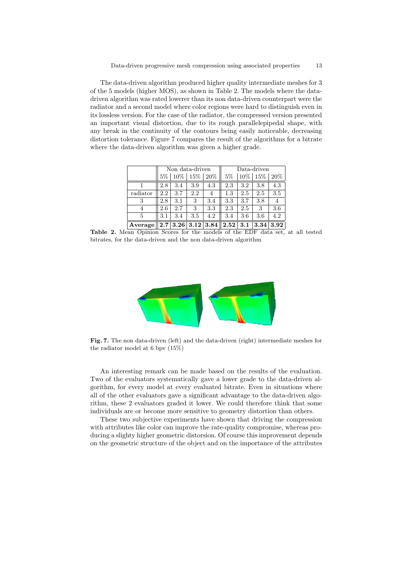The data-driven algorithm produced higher quality intermediate meshes for 3 of the 5 models (higher MOS), as shown in Table 2. The models where the datadriven algorithm was rated lowerer than its non data-driven counterpart were the radiator and a second model where color regions were hard to distinguish even in its lossless version. For the case of the radiator, the compressed version presented an important visual distortion, due to its rough parallelepipedal shape, with any break in the continuity of the contours being easily noticeable, decreasing distortion tolerance. Figure 7 compares the result of the algorithms for a bitrate where the data-driven algorithm was given a higher grade.

|          | Non data-driven |        |        |        | Data-driven                       |         |                              |     |
|----------|-----------------|--------|--------|--------|-----------------------------------|---------|------------------------------|-----|
|          | $5\%$           | $10\%$ | $15\%$ | $20\%$ | $5\%$                             |         | $10\%$ 15\%                  | 20% |
|          | 2.8             | 3.4    | 3.9    | 4.3    | 2.3                               | $3.2\,$ | 3.8                          | 4.3 |
| radiator | 2.2             | 3.7    | 2.2    | 4      | $1.3\,$                           | 2.5     | 2.5                          | 3.5 |
| 3        | 2.8             | 3.1    | 3      | 3.4    | 3.3                               | 3.7     | 3.8                          |     |
| 4        | 2.6             | 2.7    | 3      | 3.3    | 2.3                               | 2.5     | 3                            | 3.6 |
| 5        | 3.1             | 3.4    | 3.5    | 4.2    | 3.4                               | 3.6     | 3.6                          | 4.2 |
| Average  |                 |        |        |        | $\ 2.7\ 3.26\ 3.12\ 3.84\ 2.52\ $ | 3.1     | $\mid$ $3.34\mid$ $3.92\mid$ |     |

Table 2. Mean Opinion Scores for the models of the EDF data set, at all tested bitrates, for the data-driven and the non data-driven algorithm



Fig. 7. The non data-driven (left) and the data-driven (right) intermediate meshes for the radiator model at 6 bpv (15%)

An interesting remark can be made based on the results of the evaluation. Two of the evaluators systematically gave a lower grade to the data-driven algorithm, for every model at every evaluated bitrate. Even in situations where all of the other evaluators gave a significant advantage to the data-driven algorithm, these 2 evaluators graded it lower. We could therefore think that some individuals are or become more sensitive to geometry distortion than others.

These two subjective experiments have shown that driving the compression with attributes like color can improve the rate-quality compromise, whereas producing a slighty higher geometric distorsion. Of course this improvement depends on the geometric structure of the object and on the importance of the attributes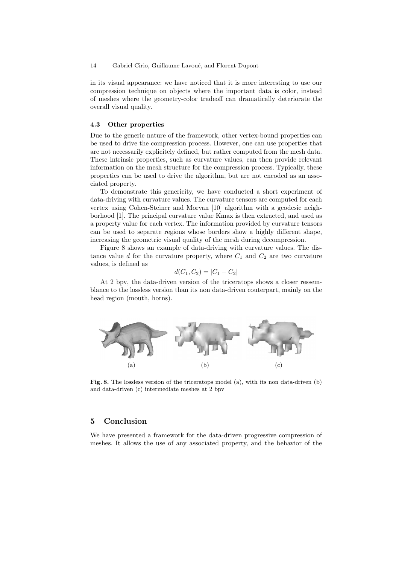in its visual appearance: we have noticed that it is more interesting to use our compression technique on objects where the important data is color, instead of meshes where the geometry-color tradeoff can dramatically deteriorate the overall visual quality.

## 4.3 Other properties

Due to the generic nature of the framework, other vertex-bound properties can be used to drive the compression process. However, one can use properties that are not necessarily explicitely defined, but rather computed from the mesh data. These intrinsic properties, such as curvature values, can then provide relevant information on the mesh structure for the compression process. Typically, these properties can be used to drive the algorithm, but are not encoded as an associated property.

To demonstrate this genericity, we have conducted a short experiment of data-driving with curvature values. The curvature tensors are computed for each vertex using Cohen-Steiner and Morvan [10] algorithm with a geodesic neighborhood [1]. The principal curvature value Kmax is then extracted, and used as a property value for each vertex. The information provided by curvature tensors can be used to separate regions whose borders show a highly different shape, increasing the geometric visual quality of the mesh during decompression.

Figure 8 shows an example of data-driving with curvature values. The distance value d for the curvature property, where  $C_1$  and  $C_2$  are two curvature values, is defined as

$$
d(C_1, C_2) = |C_1 - C_2|
$$

At 2 bpv, the data-driven version of the triceratops shows a closer ressemblance to the lossless version than its non data-driven couterpart, mainly on the head region (mouth, horns).



Fig. 8. The lossless version of the triceratops model (a), with its non data-driven (b) and data-driven (c) intermediate meshes at 2 bpv

## 5 Conclusion

We have presented a framework for the data-driven progressive compression of meshes. It allows the use of any associated property, and the behavior of the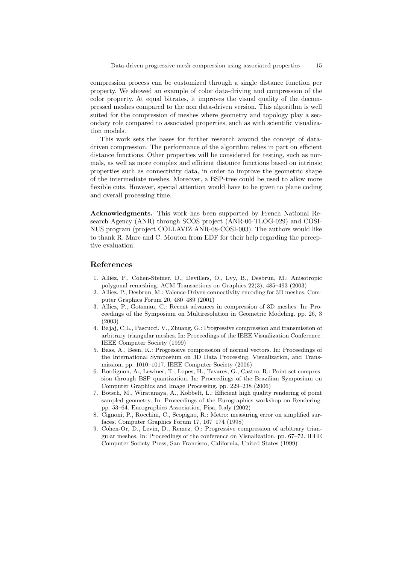compression process can be customized through a single distance function per property. We showed an example of color data-driving and compression of the color property. At equal bitrates, it improves the visual quality of the decompressed meshes compared to the non data-driven version. This algorithm is well suited for the compression of meshes where geometry and topology play a secondary role compared to associated properties, such as with scientific visualization models.

This work sets the bases for further research around the concept of datadriven compression. The performance of the algorithm relies in part on efficient distance functions. Other properties will be considered for testing, such as normals, as well as more complex and efficient distance functions based on intrinsic properties such as connectivity data, in order to improve the geometric shape of the intermediate meshes. Moreover, a BSP-tree could be used to allow more flexible cuts. However, special attention would have to be given to plane coding and overall processing time.

Acknowledgments. This work has been supported by French National Research Agency (ANR) through SCOS project (ANR-06-TLOG-029) and COSI-NUS program (project COLLAVIZ ANR-08-COSI-003). The authors would like to thank R. Marc and C. Mouton from EDF for their help regarding the perceptive evaluation.

## References

- 1. Alliez, P., Cohen-Steiner, D., Devillers, O., Lvy, B., Desbrun, M.: Anisotropic polygonal remeshing. ACM Transactions on Graphics 22(3), 485–493 (2003)
- 2. Alliez, P., Desbrun, M.: Valence-Driven connectivity encoding for 3D meshes. Computer Graphics Forum 20, 480–489 (2001)
- 3. Alliez, P., Gotsman, C.: Recent advances in compression of 3D meshes. In: Proceedings of the Symposium on Multiresolution in Geometric Modeling. pp. 26, 3 (2003)
- 4. Bajaj, C.L., Pascucci, V., Zhuang, G.: Progressive compression and transmission of arbitrary triangular meshes. In: Proceedings of the IEEE Visualization Conference. IEEE Computer Society (1999)
- 5. Bass, A., Been, K.: Progressive compression of normal vectors. In: Proceedings of the International Symposium on 3D Data Processing, Visualization, and Transmission. pp. 1010–1017. IEEE Computer Society (2006)
- 6. Bordignon, A., Lewiner, T., Lopes, H., Tavares, G., Castro, R.: Point set compression through BSP quantization. In: Proceedings of the Brazilian Symposium on Computer Graphics and Image Processing. pp. 229–238 (2006)
- 7. Botsch, M., Wiratanaya, A., Kobbelt, L.: Efficient high quality rendering of point sampled geometry. In: Proceedings of the Eurographics workshop on Rendering. pp. 53–64. Eurographics Association, Pisa, Italy (2002)
- 8. Cignoni, P., Rocchini, C., Scopigno, R.: Metro: measuring error on simplified surfaces. Computer Graphics Forum 17, 167–174 (1998)
- 9. Cohen-Or, D., Levin, D., Remez, O.: Progressive compression of arbitrary triangular meshes. In: Proceedings of the conference on Visualization. pp. 67–72. IEEE Computer Society Press, San Francisco, California, United States (1999)